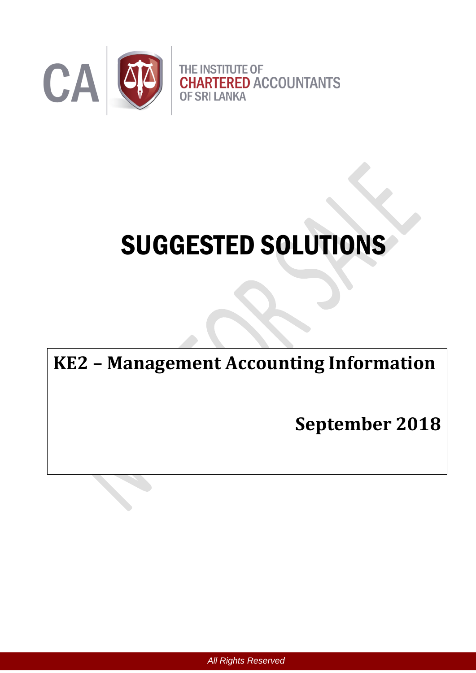

# SUGGESTED SOLUTIONS

## **KE2 – Management Accounting Information**

**September 2018**

*All Rights Reserved*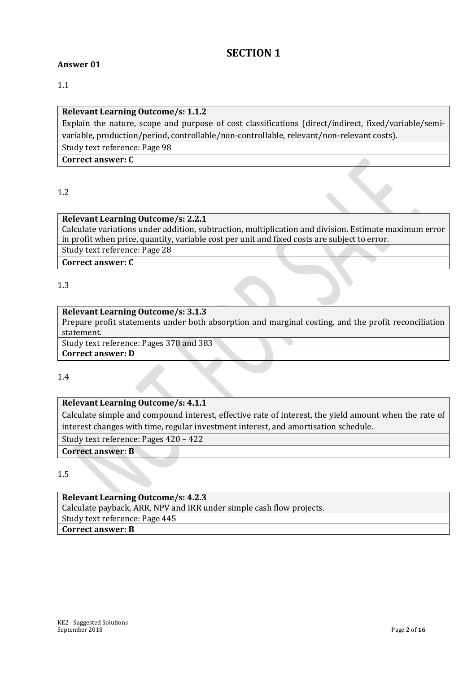#### **SECTION 1**

#### **Answer 01**

1.1

#### **Relevant Learning Outcome/s: 1.1.2**

Explain the nature, scope and purpose of cost classifications (direct/indirect, fixed/variable/semivariable, production/period, controllable/non-controllable, relevant/non-relevant costs).

Study text reference: Page 98

**Correct answer: C**

1.2

#### **Relevant Learning Outcome/s: 2.2.1**

Calculate variations under addition, subtraction, multiplication and division. Estimate maximum error in profit when price, quantity, variable cost per unit and fixed costs are subject to error.

Study text reference: Page 28

**Correct answer: C**

#### 1.3

#### **Relevant Learning Outcome/s: 3.1.3**

Prepare profit statements under both absorption and marginal costing, and the profit reconciliation statement.

Study text reference: Pages 378 and 383 **Correct answer: D**

1.4

#### **Relevant Learning Outcome/s: 4.1.1**

Calculate simple and compound interest, effective rate of interest, the yield amount when the rate of interest changes with time, regular investment interest, and amortisation schedule.

Study text reference: Pages 420 – 422

**Correct answer: B**

1.5

#### **Relevant Learning Outcome/s: 4.2.3** Calculate payback, ARR, NPV and IRR under simple cash flow projects. Study text reference: Page 445 **Correct answer: B**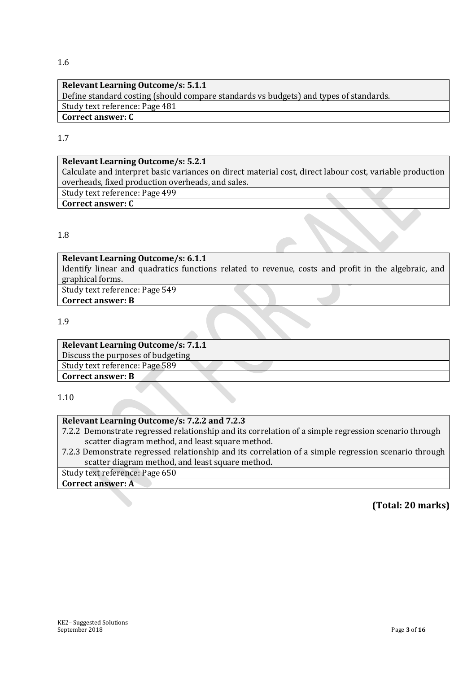#### 1.6

#### **Relevant Learning Outcome/s: 5.1.1** Define standard costing (should compare standards vs budgets) and types of standards. Study text reference: Page 481 **Correct answer: C**

#### 1.7

#### **Relevant Learning Outcome/s: 5.2.1**

Calculate and interpret basic variances on direct material cost, direct labour cost, variable production overheads, fixed production overheads, and sales.

Study text reference: Page 499

#### **Correct answer: C**

#### 1.8

#### **Relevant Learning Outcome/s: 6.1.1**

Identify linear and quadratics functions related to revenue, costs and profit in the algebraic, and graphical forms.

Study text reference: Page 549

**Correct answer: B**

1.9

#### **Relevant Learning Outcome/s: 7.1.1**

Discuss the purposes of budgeting

Study text reference: Page 589

**Correct answer: B**

1.10

#### **Relevant Learning Outcome/s: 7.2.2 and 7.2.3**

7.2.2 Demonstrate regressed relationship and its correlation of a simple regression scenario through scatter diagram method, and least square method.

7.2.3 Demonstrate regressed relationship and its correlation of a simple regression scenario through scatter diagram method, and least square method.

Study text reference: Page 650

**Correct answer: A**

#### **(Total: 20 marks)**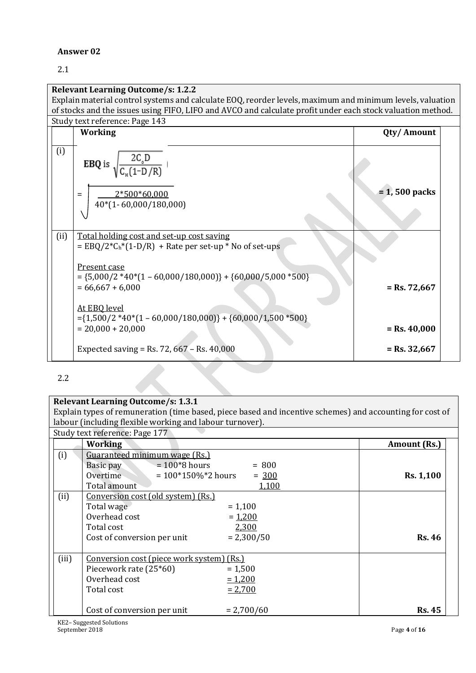#### **Answer 02**

#### 2.1

|      | <b>Relevant Learning Outcome/s: 1.2.2</b>                                                                                                            |                 |  |
|------|------------------------------------------------------------------------------------------------------------------------------------------------------|-----------------|--|
|      | Explain material control systems and calculate EOQ, reorder levels, maximum and minimum levels, valuation                                            |                 |  |
|      | of stocks and the issues using FIFO, LIFO and AVCO and calculate profit under each stock valuation method.                                           |                 |  |
|      | Study text reference: Page 143                                                                                                                       |                 |  |
|      | <b>Working</b>                                                                                                                                       | Qty/Amount      |  |
| (i)  | $\frac{2C_o D}{C_e (1-D/R)}$<br>EBQ is,                                                                                                              |                 |  |
|      | 2*500*60,000<br>$=$<br>$40*(1 - 60,000/180,000)$                                                                                                     | $= 1,500$ packs |  |
| (ii) | Total holding cost and set-up cost saving<br>$=$ EBQ/2 <sup>*</sup> C <sub>h</sub> <sup>*</sup> (1-D/R) + Rate per set-up <sup>*</sup> No of set-ups |                 |  |
|      | Present case<br>$= {5,000/2}_{*40*(1 - 60,000/180,000)} + {60,000/5,000}_{*500}$<br>$= 66,667 + 6,000$                                               | $=$ Rs. 72,667  |  |
|      | At EBQ level<br>$=\{1,500/2*40*(1-60,000/180,000)\}+\{60,000/1,500*500\}$<br>$= 20,000 + 20,000$                                                     | $=$ Rs. 40,000  |  |
|      | Expected saving = Rs. 72, $667 -$ Rs. 40,000                                                                                                         | $=$ Rs. 32,667  |  |

#### 2.2

#### **Relevant Learning Outcome/s: 1.3.1** Explain types of remuneration (time based, piece based and incentive schemes) and accounting for cost of labour (including flexible working and labour turnover). Study text reference: Page 177 *Morking* **Amount (Rs.)** (i) Guaranteed minimum wage (Rs.) Basic pay  $= 100*8$  hours  $= 800$ Overtime  $= 100*150\%*2 \text{ hours} = 300$ Total amount 1,100 **Rs. 1,100** (ii) Conversion cost (old system) (Rs.) Total wage  $= 1,100$  $Overhead cost$  =  $1,200$ Total cost 2,300 Cost of conversion per unit  $= 2,300/50$  Rs. 46 (iii) Conversion cost (piece work system) (Rs.) Piecework rate  $(25*60)$  = 1,500 Overhead cost  $= 1,200$ Total cost  $= 2,700$ Cost of conversion per unit  $= 2,700/60$  Rs. 45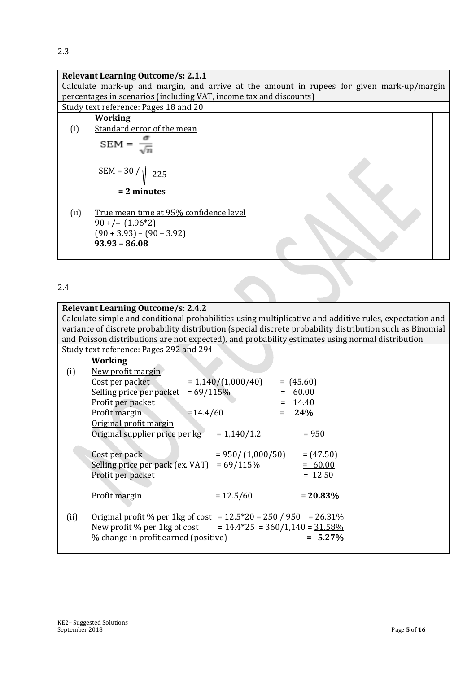#### **Relevant Learning Outcome/s: 2.1.1**

Calculate mark-up and margin, and arrive at the amount in rupees for given mark-up/margin percentages in scenarios (including VAT, income tax and discounts)

Study text reference: Pages 18 and 20

|      | <b>Working</b>                         |  |
|------|----------------------------------------|--|
| (i)  | Standard error of the mean             |  |
|      | $SEM =$                                |  |
|      | $SEM = 30 /   225$                     |  |
|      | $= 2$ minutes                          |  |
| (ii) | True mean time at 95% confidence level |  |
|      | $90 + ( (1.96 * 2)$                    |  |
|      | $(90 + 3.93) - (90 - 3.92)$            |  |
|      | $93.93 - 86.08$                        |  |
|      |                                        |  |

#### 2.4

| <b>Relevant Learning Outcome/s: 2.4.2</b> |                                                                                                           |             |  |  |  |
|-------------------------------------------|-----------------------------------------------------------------------------------------------------------|-------------|--|--|--|
|                                           | Calculate simple and conditional probabilities using multiplicative and additive rules, expectation and   |             |  |  |  |
|                                           | variance of discrete probability distribution (special discrete probability distribution such as Binomial |             |  |  |  |
|                                           | and Poisson distributions are not expected), and probability estimates using normal distribution.         |             |  |  |  |
|                                           | Study text reference: Pages 292 and 294                                                                   |             |  |  |  |
|                                           | <b>Working</b>                                                                                            |             |  |  |  |
| (i)                                       | New profit margin                                                                                         |             |  |  |  |
|                                           | $= 1,140/(1,000/40)$<br>Cost per packet                                                                   | $= (45.60)$ |  |  |  |
|                                           | Selling price per packet<br>$= 69/115%$                                                                   | 60.00       |  |  |  |
|                                           | Profit per packet                                                                                         | $= 14.40$   |  |  |  |
|                                           | Profit margin<br>$=14.4/60$                                                                               | 24%         |  |  |  |
|                                           | Original profit margin                                                                                    |             |  |  |  |
|                                           | Original supplier price per kg<br>$= 1,140/1.2$                                                           | $= 950$     |  |  |  |
|                                           |                                                                                                           |             |  |  |  |
|                                           | Cost per pack<br>$= 950 / (1,000 / 50)$                                                                   | $= (47.50)$ |  |  |  |
|                                           | Selling price per pack (ex. VAT) = $69/115\%$                                                             | $= 60.00$   |  |  |  |
|                                           | Profit per packet                                                                                         | $= 12.50$   |  |  |  |
|                                           |                                                                                                           |             |  |  |  |
|                                           | Profit margin<br>$= 12.5/60$                                                                              | $= 20.83\%$ |  |  |  |

|  | New profit % per 1kg of cost = $14.4*25 = 360/1,140 = 31.58\%$<br>  % change in profit earned (positive) | $= 5.27\%$ |
|--|----------------------------------------------------------------------------------------------------------|------------|
|  |                                                                                                          |            |

(ii)  $\int$  Original profit % per 1kg of cost = 12.5 \* 20 = 250 / 950 = 26.31 %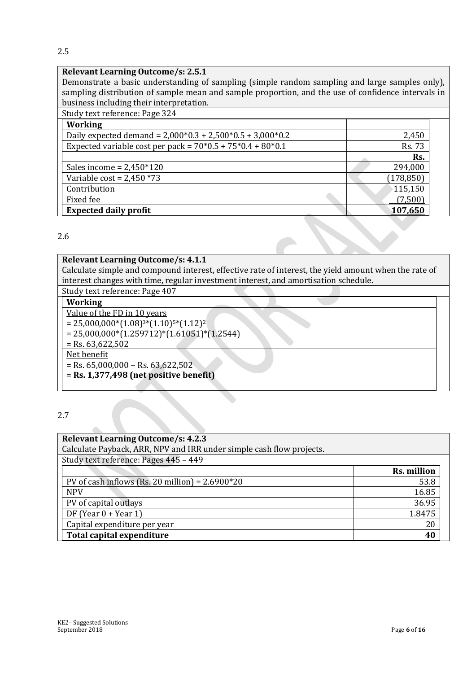2.5

#### **Relevant Learning Outcome/s: 2.5.1**

Demonstrate a basic understanding of sampling (simple random sampling and large samples only), sampling distribution of sample mean and sample proportion, and the use of confidence intervals in business including their interpretation.

| Study text reference: Page 324 |  |
|--------------------------------|--|
|                                |  |

| <b>Working</b>                                               |               |
|--------------------------------------------------------------|---------------|
| Daily expected demand = $2,000*0.3 + 2,500*0.5 + 3,000*0.2$  | 2,450         |
| Expected variable cost per pack = $70*0.5 + 75*0.4 + 80*0.1$ | <b>Rs. 73</b> |
|                                                              | Rs.           |
| Sales income = $2,450*120$                                   | 294,000       |
| Variable $cost = 2,450 * 73$                                 | (178, 850)    |
| Contribution                                                 | 115,150       |
| Fixed fee                                                    | (7,500)       |
| <b>Expected daily profit</b>                                 | 107,650       |

2.6

#### **Relevant Learning Outcome/s: 4.1.1**

Calculate simple and compound interest, effective rate of interest, the yield amount when the rate of interest changes with time, regular investment interest, and amortisation schedule.

### Study text reference: Page 407

| <b>Working</b>                                  |  |
|-------------------------------------------------|--|
| Value of the FD in 10 years                     |  |
| $= 25,000,000*(1.08)^{3*}(1.10)^{5*}(1.12)^{2}$ |  |
| $= 25,000,000*(1.259712)*(1.61051)*(1.2544)$    |  |
| $=$ Rs. 63,622,502                              |  |
| Net benefit                                     |  |
| $=$ Rs. 65,000,000 – Rs. 63,622,502             |  |
| $=$ Rs. 1,377,498 (net positive benefit)        |  |
|                                                 |  |

2.7

| <b>Relevant Learning Outcome/s: 4.2.3</b>                            |             |  |  |  |
|----------------------------------------------------------------------|-------------|--|--|--|
| Calculate Payback, ARR, NPV and IRR under simple cash flow projects. |             |  |  |  |
| Study text reference: Pages 445 - 449                                |             |  |  |  |
|                                                                      | Rs. million |  |  |  |
| PV of cash inflows (Rs. 20 million) = $2.6900*20$                    | 53.8        |  |  |  |
| <b>NPV</b>                                                           | 16.85       |  |  |  |
| PV of capital outlays                                                | 36.95       |  |  |  |
| DF (Year $0 +$ Year 1)                                               | 1.8475      |  |  |  |
| Capital expenditure per year                                         | 20          |  |  |  |
| Total capital expenditure<br>40                                      |             |  |  |  |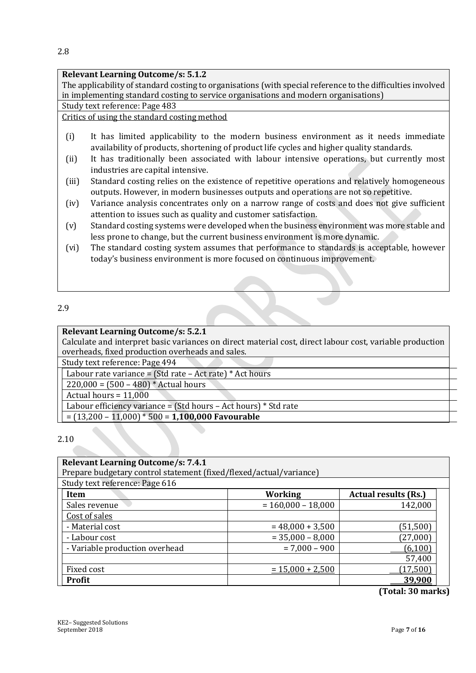#### **Relevant Learning Outcome/s: 5.1.2**

The applicability of standard costing to organisations (with special reference to the difficulties involved in implementing standard costing to service organisations and modern organisations)

Study text reference: Page 483

#### Critics of using the standard costing method

- (i) It has limited applicability to the modern business environment as it needs immediate availability of products, shortening of product life cycles and higher quality standards.
- (ii) It has traditionally been associated with labour intensive operations, but currently most industries are capital intensive.
- (iii) Standard costing relies on the existence of repetitive operations and relatively homogeneous outputs. However, in modern businesses outputs and operations are not so repetitive.
- (iv) Variance analysis concentrates only on a narrow range of costs and does not give sufficient attention to issues such as quality and customer satisfaction.
- (v) Standard costing systems were developed when the business environment was more stable and less prone to change, but the current business environment is more dynamic.
- (vi) The standard costing system assumes that performance to standards is acceptable, however today's business environment is more focused on continuous improvement.

#### 2.9

#### **Relevant Learning Outcome/s: 5.2.1**

Calculate and interpret basic variances on direct material cost, direct labour cost, variable production overheads, fixed production overheads and sales.

Study text reference: Page 494

Labour rate variance =  $(Std rate - Act rate) * Act hours$ 

 $220,000 = (500 - 480) *$  Actual hours

Actual hours =  $11,000$ 

Labour efficiency variance = (Std hours – Act hours) \* Std rate

= (13,200 – 11,000) \* 500 = **1,100,000 Favourable**

#### 2.10

| <b>Relevant Learning Outcome/s: 7.4.1</b>                          |                                               |           |  |  |  |  |  |
|--------------------------------------------------------------------|-----------------------------------------------|-----------|--|--|--|--|--|
| Prepare budgetary control statement (fixed/flexed/actual/variance) |                                               |           |  |  |  |  |  |
| Study text reference: Page 616                                     |                                               |           |  |  |  |  |  |
| Item                                                               | <b>Working</b><br><b>Actual results (Rs.)</b> |           |  |  |  |  |  |
| Sales revenue                                                      | $= 160,000 - 18,000$                          | 142,000   |  |  |  |  |  |
| Cost of sales                                                      |                                               |           |  |  |  |  |  |
| - Material cost                                                    | $= 48,000 + 3,500$                            | (51, 500) |  |  |  |  |  |
| - Labour cost                                                      | $= 35,000 - 8,000$                            | (27,000)  |  |  |  |  |  |
| - Variable production overhead                                     | $= 7,000 - 900$                               | (6,100)   |  |  |  |  |  |
|                                                                    |                                               | 57,400    |  |  |  |  |  |
| Fixed cost                                                         | $= 15,000 + 2,500$                            | (17,500)  |  |  |  |  |  |
| <b>Profit</b>                                                      |                                               | 39,900    |  |  |  |  |  |

**(Total: 30 marks)**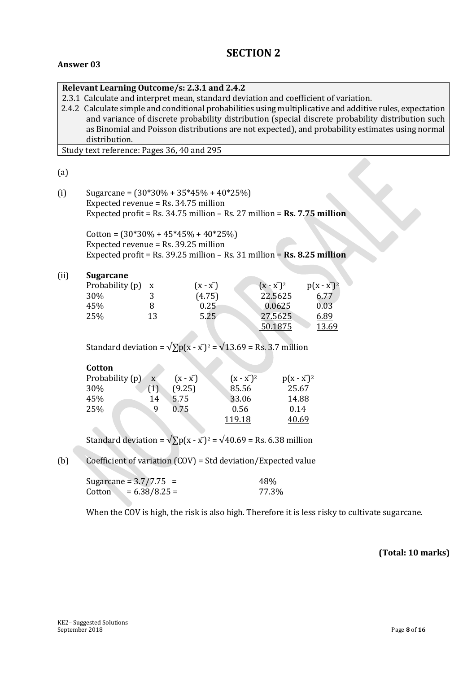#### **SECTION 2**

#### **Answer 03**

|     | Relevant Learning Outcome/s: 2.3.1 and 2.4.2                                                              |  |  |  |  |  |
|-----|-----------------------------------------------------------------------------------------------------------|--|--|--|--|--|
|     | 2.3.1 Calculate and interpret mean, standard deviation and coefficient of variation.                      |  |  |  |  |  |
|     | 2.4.2 Calculate simple and conditional probabilities using multiplicative and additive rules, expectation |  |  |  |  |  |
|     | and variance of discrete probability distribution (special discrete probability distribution such         |  |  |  |  |  |
|     | as Binomial and Poisson distributions are not expected), and probability estimates using normal           |  |  |  |  |  |
|     | distribution.                                                                                             |  |  |  |  |  |
|     | Study text reference: Pages 36, 40 and 295                                                                |  |  |  |  |  |
|     |                                                                                                           |  |  |  |  |  |
| (a) |                                                                                                           |  |  |  |  |  |
|     |                                                                                                           |  |  |  |  |  |
| (i) | Sugarcane = $(30*30\% + 35*45\% + 40*25\%)$                                                               |  |  |  |  |  |
|     | Expected revenue = $Rs. 34.75$ million                                                                    |  |  |  |  |  |

Expected revenue = Rs. 34.75 million Expected profit = Rs. 34.75 million – Rs. 27 million = **Rs. 7.75 million**

Cotton =  $(30*30\% + 45*45\% + 40*25\%)$ Expected revenue = Rs. 39.25 million Expected profit = Rs. 39.25 million – Rs. 31 million = **Rs. 8.25 million**

#### (ii) **Sugarcane**

| Probability (p) x |    | $(x - x^{-})$ | $(x - x2)2$ | $p(x - x^{-})^2$ |
|-------------------|----|---------------|-------------|------------------|
| 30%               |    | (4.75)        | 22.5625     | 6.77             |
| 45%               |    | 0.25          | 0.0625      | 0.03             |
| 25%               | 13 | 5.25          | 27.5625     | 6.89             |
|                   |    |               | 50.1875     | 13.69            |

Standard deviation =  $\sqrt{\sum p(x - x^2)} = \sqrt{13.69} = \text{Rs. } 3.7 \text{ million}$ 

| Cotton          |              |               |             |             |
|-----------------|--------------|---------------|-------------|-------------|
| Probability (p) | $\mathbf{x}$ | $(x - x^{-})$ | $(x - x2)2$ | $p(x - x2)$ |
| 30%             | (1)          | (9.25)        | 85.56       | 25.67       |
| 45%             | 14           | 5.75          | 33.06       | 14.88       |
| 25%             | 9            | 0.75          | 0.56        | 0.14        |
|                 |              |               | 119.18      | 40.69       |

Standard deviation =  $\sqrt{\sum p(x - x^2)^2} = \sqrt{40.69}$  = Rs. 6.38 million

(b) Coefficient of variation (COV) = Std deviation/Expected value

| Sugarcane = $3.7/7.75$ =  | 48%   |
|---------------------------|-------|
| $= 6.38/8.25 =$<br>Cotton | 77.3% |

When the COV is high, the risk is also high. Therefore it is less risky to cultivate sugarcane.

**(Total: 10 marks)**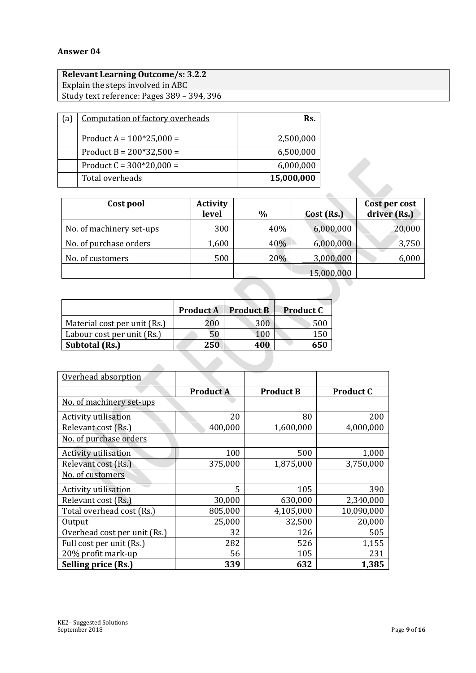#### **Answer 04**

| <b>Relevant Learning Outcome/s: 3.2.2</b>  |  |
|--------------------------------------------|--|
| Explain the steps involved in ABC          |  |
| Study text reference: Pages 389 - 394, 396 |  |

| l a | Computation of factory overheads | Rs.        |
|-----|----------------------------------|------------|
|     |                                  |            |
|     | Product A = $100*25,000 =$       | 2,500,000  |
|     | Product $B = 200*32,500 =$       | 6,500,000  |
|     | Product $C = 300*20,000 =$       | 6,000,000  |
|     | Total overheads                  | 15,000,000 |

| Cost pool                | <b>Activity</b><br>level | $\%$ | Cost (Rs.) | Cost per cost<br>driver (Rs.) |
|--------------------------|--------------------------|------|------------|-------------------------------|
| No. of machinery set-ups | 300                      | 40%  | 6,000,000  | 20,000                        |
| No. of purchase orders   | 1,600                    | 40%  | 6,000,000  | 3,750                         |
| No. of customers         | 500                      | 20%  | 3,000,000  | 6,000                         |
|                          |                          |      | 15,000,000 |                               |
|                          |                          |      |            |                               |

|                              | <b>Product A</b> | <b>Product B</b> | <b>Product C</b> |
|------------------------------|------------------|------------------|------------------|
| Material cost per unit (Rs.) | 200              | 300              | 500              |
| Labour cost per unit (Rs.)   | 50               | 100              | 150              |
| Subtotal (Rs.)               | 250              | 400              | 650              |

| Overhead absorption          |                  |                  |                  |
|------------------------------|------------------|------------------|------------------|
|                              | <b>Product A</b> | <b>Product B</b> | <b>Product C</b> |
| No. of machinery set-ups     |                  |                  |                  |
| Activity utilisation         | 20               | 80               | 200              |
| Relevant cost (Rs.)          | 400,000          | 1,600,000        | 4,000,000        |
| No. of purchase orders       |                  |                  |                  |
| Activity utilisation         | 100              | 500              | 1,000            |
| Relevant cost (Rs.)          | 375,000          | 1,875,000        | 3,750,000        |
| No. of customers             |                  |                  |                  |
| Activity utilisation         | 5                | 105              | 390              |
| Relevant cost (Rs.)          | 30,000           | 630,000          | 2,340,000        |
| Total overhead cost (Rs.)    | 805,000          | 4,105,000        | 10,090,000       |
| Output                       | 25,000           | 32,500           | 20,000           |
| Overhead cost per unit (Rs.) | 32               | 126              | 505              |
| Full cost per unit (Rs.)     | 282              | 526              | 1,155            |
| 20% profit mark-up           | 56               | 105              | 231              |
| Selling price (Rs.)          | 339              | 632              | 1,385            |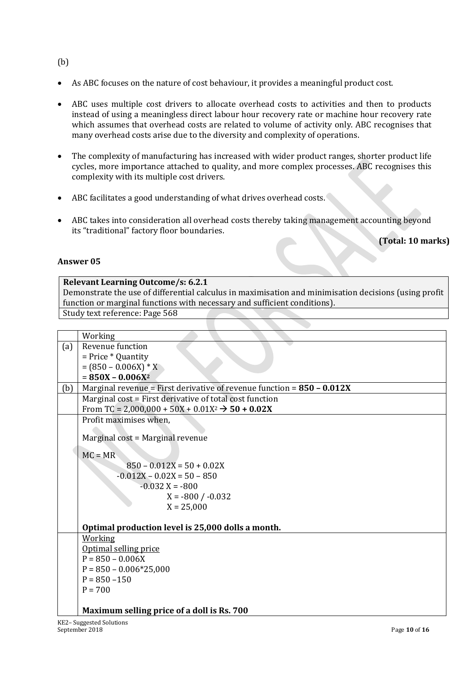- (b)
- As ABC focuses on the nature of cost behaviour, it provides a meaningful product cost.
- ABC uses multiple cost drivers to allocate overhead costs to activities and then to products instead of using a meaningless direct labour hour recovery rate or machine hour recovery rate which assumes that overhead costs are related to volume of activity only. ABC recognises that many overhead costs arise due to the diversity and complexity of operations.
- The complexity of manufacturing has increased with wider product ranges, shorter product life cycles, more importance attached to quality, and more complex processes. ABC recognises this complexity with its multiple cost drivers.
- ABC facilitates a good understanding of what drives overhead costs.
- ABC takes into consideration all overhead costs thereby taking management accounting beyond its "traditional" factory floor boundaries.

**(Total: 10 marks)**

#### **Answer 05**

**Relevant Learning Outcome/s: 6.2.1** Demonstrate the use of differential calculus in maximisation and minimisation decisions (using profit function or marginal functions with necessary and sufficient conditions). Study text reference: Page 568

|     | Working                                                                  |
|-----|--------------------------------------------------------------------------|
| (a) | Revenue function                                                         |
|     | $=$ Price $*$ Quantity                                                   |
|     | $= (850 - 0.006X) * X$                                                   |
|     | $= 850X - 0.006X^2$                                                      |
| (b) | Marginal revenue = First derivative of revenue function = $850 - 0.012X$ |
|     | Marginal cost = First derivative of total cost function                  |
|     | From TC = 2,000,000 + 50X + 0.01X <sup>2</sup> $\rightarrow$ 50 + 0.02X  |
|     | Profit maximises when,                                                   |
|     |                                                                          |
|     | Marginal cost = Marginal revenue                                         |
|     | $MC = MR$                                                                |
|     | $850 - 0.012X = 50 + 0.02X$                                              |
|     | $-0.012X - 0.02X = 50 - 850$                                             |
|     | $-0.032$ X = $-800$                                                      |
|     | $X = -800 / -0.032$                                                      |
|     | $X = 25,000$                                                             |
|     |                                                                          |
|     | Optimal production level is 25,000 dolls a month.                        |
|     | Working                                                                  |
|     | Optimal selling price                                                    |
|     | $P = 850 - 0.006X$                                                       |
|     | $P = 850 - 0.006*25,000$                                                 |
|     | $P = 850 - 150$                                                          |
|     | $P = 700$                                                                |
|     |                                                                          |
|     | Maximum selling price of a doll is Rs. 700                               |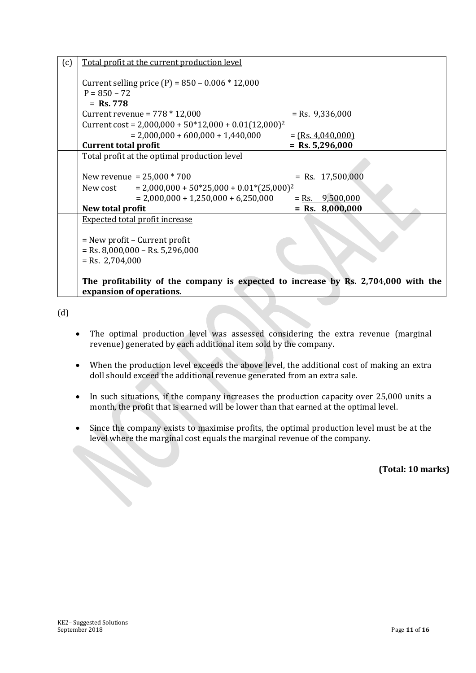| (c) | Total profit at the current production level                                       |                     |
|-----|------------------------------------------------------------------------------------|---------------------|
|     | Current selling price (P) = $850 - 0.006 * 12,000$                                 |                     |
|     | $P = 850 - 72$                                                                     |                     |
|     | $=$ Rs. 778                                                                        |                     |
|     | Current revenue = $778 * 12,000$                                                   | $=$ Rs. 9,336,000   |
|     | Current cost = $2,000,000 + 50*12,000 + 0.01(12,000)^2$                            |                     |
|     | $= 2,000,000 + 600,000 + 1,440,000$                                                | $=$ (Rs. 4,040,000) |
|     | <b>Current total profit</b>                                                        | $=$ Rs. 5,296,000   |
|     | Total profit at the optimal production level                                       |                     |
|     |                                                                                    |                     |
|     | New revenue = $25,000 * 700$                                                       | $=$ Rs. 17,500,000  |
|     | $= 2,000,000 + 50*25,000 + 0.01*(25,000)^2$<br>New cost                            |                     |
|     | $= 2,000,000 + 1,250,000 + 6,250,000$                                              | $=$ Rs. 9,500,000   |
|     | New total profit                                                                   | $=$ Rs. 8,000,000   |
|     | <b>Expected total profit increase</b>                                              |                     |
|     |                                                                                    |                     |
|     | $=$ New profit – Current profit                                                    |                     |
|     | $=$ Rs. 8,000,000 – Rs. 5,296,000                                                  |                     |
|     | $=$ Rs. 2,704,000                                                                  |                     |
|     |                                                                                    |                     |
|     | The profitability of the company is expected to increase by Rs. 2,704,000 with the |                     |
|     | expansion of operations.                                                           |                     |

(d)

- The optimal production level was assessed considering the extra revenue (marginal revenue) generated by each additional item sold by the company.
- When the production level exceeds the above level, the additional cost of making an extra doll should exceed the additional revenue generated from an extra sale.
- In such situations, if the company increases the production capacity over 25,000 units a month, the profit that is earned will be lower than that earned at the optimal level.
- Since the company exists to maximise profits, the optimal production level must be at the level where the marginal cost equals the marginal revenue of the company.

**(Total: 10 marks)**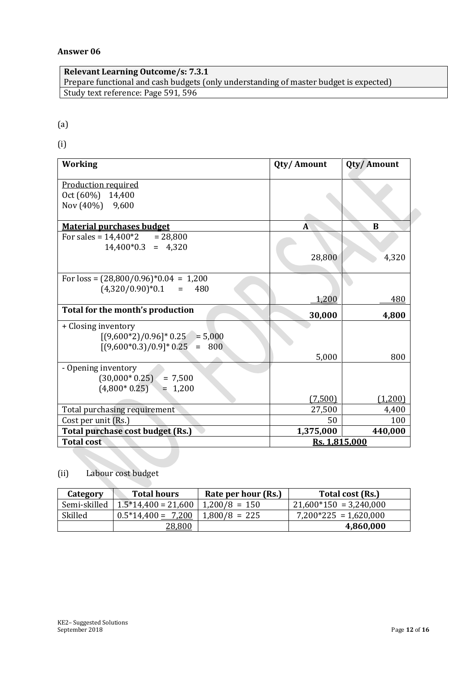#### **Answer 06**

**Relevant Learning Outcome/s: 7.3.1** Prepare functional and cash budgets (only understanding of master budget is expected) Study text reference: Page 591, 596

#### (a)

(i)

| <b>Working</b>                           | Qty/Amount    | Qty/Amount |
|------------------------------------------|---------------|------------|
| <b>Production required</b>               |               |            |
| Oct (60%) 14,400                         |               |            |
| Nov (40%) 9,600                          |               |            |
|                                          |               |            |
| <b>Material purchases budget</b>         | A             | B          |
| For sales = $14,400*2$ = 28,800          |               |            |
| $14,400*0.3 = 4,320$                     |               |            |
|                                          | 28,800        | 4,320      |
|                                          |               |            |
| For $loss = (28,800/0.96)^*0.04 = 1,200$ |               |            |
| $(4,320/0.90)*0.1 =$<br>480              |               |            |
|                                          | 1,200         | 480        |
| Total for the month's production         | 30,000        | 4,800      |
| + Closing inventory                      |               |            |
| $[(9,600*2)/0.96]*0.25 = 5,000$          |               |            |
| $[(9,600*0.3)/0.9]*0.25 =$<br>800        |               |            |
|                                          | 5,000         | 800        |
| - Opening inventory                      |               |            |
| $(30,000*0.25) = 7,500$                  |               |            |
| $(4,800*0.25) = 1,200$                   |               |            |
|                                          | (7,500)       | (1,200)    |
| Total purchasing requirement             | 27,500        | 4,400      |
| Cost per unit (Rs.)                      | 50            | 100        |
| Total purchase cost budget (Rs.)         | 1,375,000     | 440,000    |
| <b>Total cost</b>                        | Rs. 1,815,000 |            |

#### (ii) Labour cost budget

| Category     | <b>Total hours</b>   | Rate per hour (Rs.)   | Total cost (Rs.)         |
|--------------|----------------------|-----------------------|--------------------------|
| Semi-skilled | $1.5*14,400=21,600$  | $\vert$ 1,200/8 = 150 | $21,600*150 = 3,240,000$ |
| Skilled      | $0.5*14,400 = 7,200$ | $1,800/8 = 225$       | $7,200*225 = 1,620,000$  |
|              | 28,800               |                       | 4,860,000                |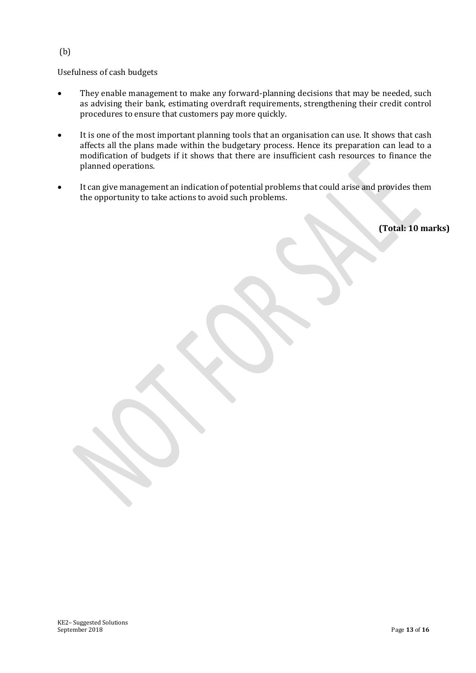#### Usefulness of cash budgets

- They enable management to make any forward-planning decisions that may be needed, such as advising their bank, estimating overdraft requirements, strengthening their credit control procedures to ensure that customers pay more quickly.
- It is one of the most important planning tools that an organisation can use. It shows that cash affects all the plans made within the budgetary process. Hence its preparation can lead to a modification of budgets if it shows that there are insufficient cash resources to finance the planned operations.
- It can give management an indication of potential problems that could arise and provides them the opportunity to take actions to avoid such problems.

**(Total: 10 marks)**

(b)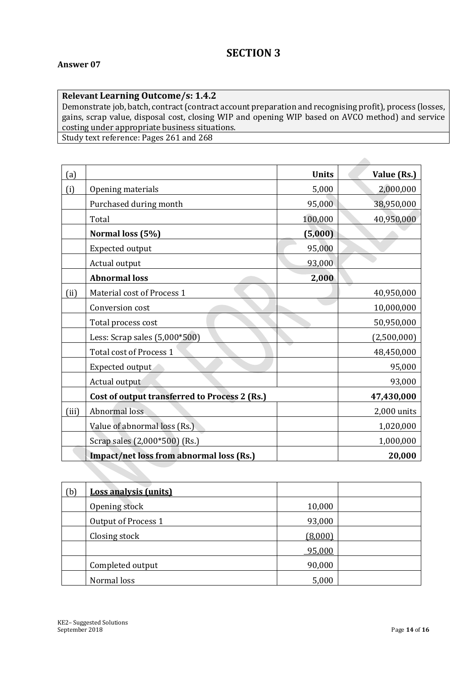#### **Relevant Learning Outcome/s: 1.4.2**

Demonstrate job, batch, contract (contract account preparation and recognising profit), process (losses, gains, scrap value, disposal cost, closing WIP and opening WIP based on AVCO method) and service costing under appropriate business situations.

A

Study text reference: Pages 261 and 268

| (a)   |                                               | <b>Units</b> | Value (Rs.)   |
|-------|-----------------------------------------------|--------------|---------------|
| (i)   | Opening materials                             | 5,000        | 2,000,000     |
|       | Purchased during month                        | 95,000       | 38,950,000    |
|       | Total                                         | 100,000      | 40,950,000    |
|       | Normal loss (5%)                              | (5,000)      |               |
|       | Expected output                               | 95,000       |               |
|       | Actual output                                 | 93,000       |               |
|       | <b>Abnormal loss</b>                          | 2,000        |               |
| (ii)  | Material cost of Process 1                    |              | 40,950,000    |
|       | Conversion cost                               |              | 10,000,000    |
|       | Total process cost                            |              | 50,950,000    |
|       | Less: Scrap sales $(5,000*500)$               |              | (2,500,000)   |
|       | Total cost of Process 1                       |              | 48,450,000    |
|       | Expected output                               |              | 95,000        |
|       | Actual output                                 |              | 93,000        |
|       | Cost of output transferred to Process 2 (Rs.) |              | 47,430,000    |
| (iii) | Abnormal loss                                 |              | $2,000$ units |
|       | Value of abnormal loss (Rs.)                  |              | 1,020,000     |
|       | Scrap sales (2,000*500) (Rs.)                 |              | 1,000,000     |
|       | Impact/net loss from abnormal loss (Rs.)      |              | 20,000        |

| (b) | <b>Loss analysis (units)</b> |         |  |
|-----|------------------------------|---------|--|
|     | Opening stock                | 10,000  |  |
|     | Output of Process 1          | 93,000  |  |
|     | Closing stock                | (8,000) |  |
|     |                              | 95,000  |  |
|     | Completed output             | 90,000  |  |
|     | Normal loss                  | 5,000   |  |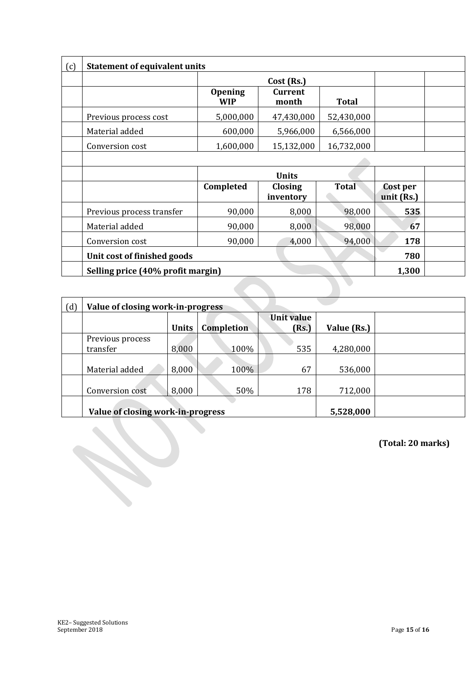| <b>Statement of equivalent units</b> |                              |                         |              |                        |  |  |
|--------------------------------------|------------------------------|-------------------------|--------------|------------------------|--|--|
|                                      |                              | Cost (Rs.)              |              |                        |  |  |
|                                      | <b>Opening</b><br><b>WIP</b> | <b>Current</b><br>month | <b>Total</b> |                        |  |  |
| Previous process cost                | 5,000,000                    | 47,430,000              | 52,430,000   |                        |  |  |
| Material added                       | 600,000                      | 5,966,000               | 6,566,000    |                        |  |  |
| Conversion cost                      | 1,600,000                    | 15,132,000              | 16,732,000   |                        |  |  |
|                                      |                              |                         |              |                        |  |  |
|                                      |                              | <b>Units</b>            |              |                        |  |  |
|                                      | Completed                    | Closing<br>inventory    | <b>Total</b> | Cost per<br>unit (Rs.) |  |  |
| Previous process transfer            | 90,000                       | 8,000                   | 98,000       | 535                    |  |  |
| Material added                       | 90,000                       | 8,000                   | 98,000       | 67                     |  |  |
| Conversion cost                      | 90,000                       | 4,000                   | 94,000       | 178                    |  |  |
| Unit cost of finished goods          |                              |                         |              |                        |  |  |
| Selling price (40% profit margin)    |                              |                         |              |                        |  |  |

| (d) | Value of closing work-in-progress |       |            |            |             |  |  |  |  |
|-----|-----------------------------------|-------|------------|------------|-------------|--|--|--|--|
|     |                                   |       |            | Unit value |             |  |  |  |  |
|     |                                   | Units | Completion | (Rs.)      | Value (Rs.) |  |  |  |  |
|     | Previous process<br>transfer      | 8,000 | 100%       | 535        | 4,280,000   |  |  |  |  |
|     |                                   |       |            |            |             |  |  |  |  |
|     | Material added                    | 8,000 | 100%       | 67         | 536,000     |  |  |  |  |
|     |                                   |       |            |            |             |  |  |  |  |
|     | Conversion cost                   | 8,000 | 50%        | 178        | 712,000     |  |  |  |  |
|     |                                   |       |            |            |             |  |  |  |  |
|     | Value of closing work-in-progress |       | 5,528,000  |            |             |  |  |  |  |

**(Total: 20 marks)**